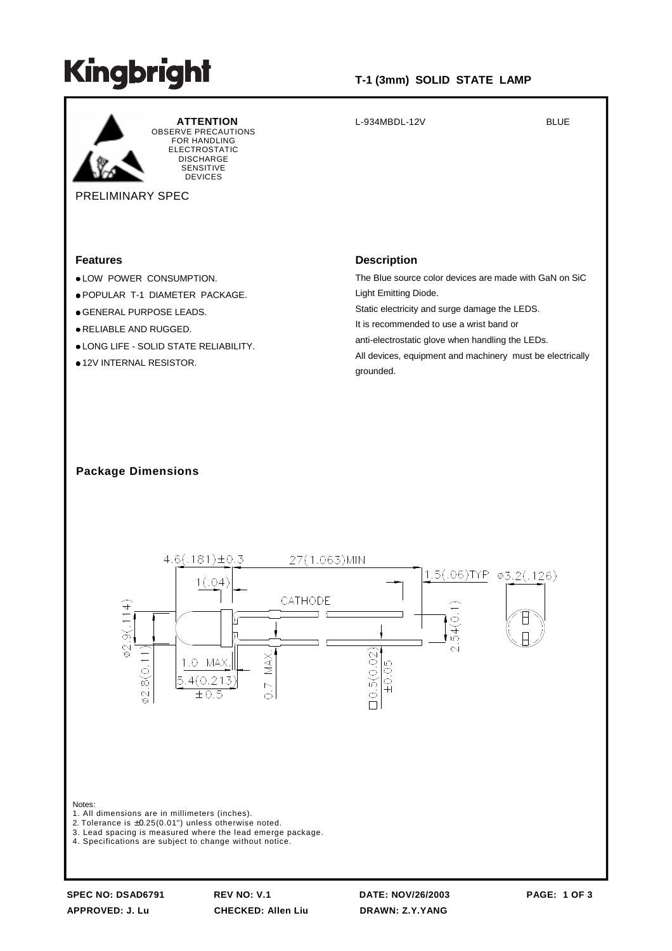# **Kingbright**



**ATTENTION** OBSERVE PRECAUTIONS FOR HANDLING ELECTROSTATIC **DISCHARGE SENSITIVE** DEVICES

PRELIMINARY SPEC

### **T-1 (3mm) SOLID STATE LAMP**

L-934MBDL-12V BLUE

#### **Features**

- LOW POWER CONSUMPTION.
- POPULAR T-1 DIAMETER PACKAGE.
- GENERAL PURPOSE LEADS.
- RELIABLE AND RUGGED.
- LONG LIFE SOLID STATE RELIABILITY.
- 12V INTERNAL RESISTOR.

#### **Description**

The Blue source color devices are made with GaN on SiC Light Emitting Diode.

Static electricity and surge damage the LEDS.

It is recommended to use a wrist band or

anti-electrostatic glove when handling the LEDs.

All devices, equipment and machinery must be electrically grounded.

#### **Package Dimensions**



**SPEC NO: DSAD6791 REV NO: V.1 DATE: NOV/26/2003 PAGE: 1 OF 3**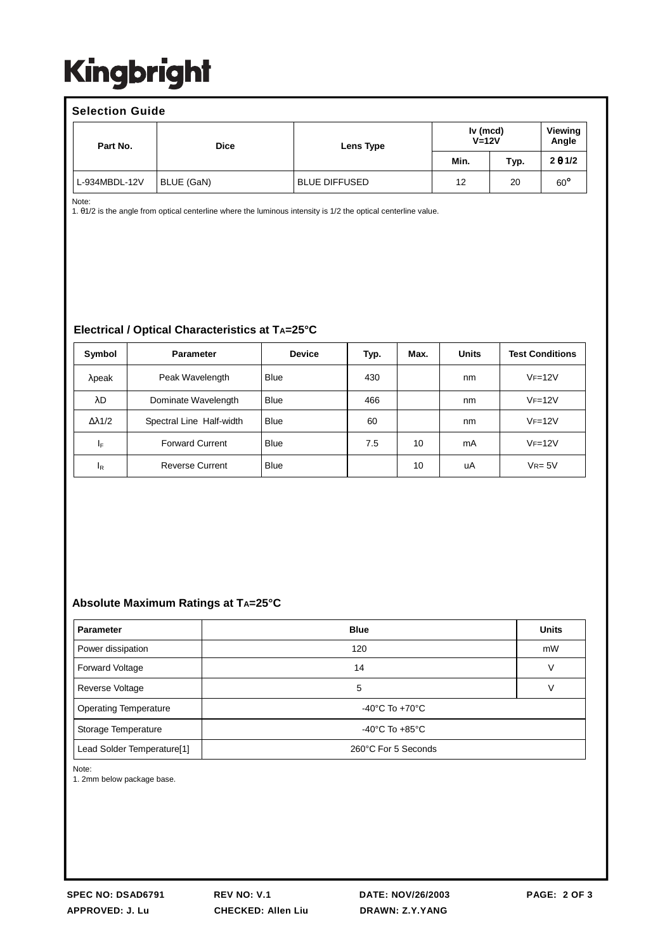# Kingbright

| <b>Selection Guide</b> |             |                      |                       |      |                  |  |  |  |  |  |
|------------------------|-------------|----------------------|-----------------------|------|------------------|--|--|--|--|--|
| Part No.               | <b>Dice</b> | Lens Type            | Iv (mcd)<br>$V = 12V$ |      | Viewing<br>Angle |  |  |  |  |  |
|                        |             |                      | Min.                  | Typ. | 201/2            |  |  |  |  |  |
| L-934MBDL-12V          | BLUE (GaN)  | <b>BLUE DIFFUSED</b> | 12                    | 20   | $60^{\circ}$     |  |  |  |  |  |

Note:

1. θ1/2 is the angle from optical centerline where the luminous intensity is 1/2 the optical centerline value.

### **Electrical / Optical Characteristics at TA=25°C**

| Symbol               | <b>Parameter</b>         | <b>Device</b> | Typ. | Max. | <b>Units</b> | <b>Test Conditions</b> |
|----------------------|--------------------------|---------------|------|------|--------------|------------------------|
| $\lambda$ peak       | Peak Wavelength          | <b>Blue</b>   | 430  |      | nm           | $VF = 12V$             |
| λD                   | Dominate Wavelength      | <b>Blue</b>   | 466  |      | nm           | $VF = 12V$             |
| $\Delta \lambda$ 1/2 | Spectral Line Half-width | <b>Blue</b>   | 60   |      | nm           | $VF = 12V$             |
| ΙF                   | <b>Forward Current</b>   | Blue          | 7.5  | 10   | mA           | $VF = 12V$             |
| ΙR                   | <b>Reverse Current</b>   | <b>Blue</b>   |      | 10   | uA           | $V_{R=5V}$             |

### **Absolute Maximum Ratings at TA=25°C**

| <b>Parameter</b>                                  | <b>Blue</b>    | <b>Units</b> |  |  |  |
|---------------------------------------------------|----------------|--------------|--|--|--|
| Power dissipation                                 | 120            | mW           |  |  |  |
| Forward Voltage                                   | 14             |              |  |  |  |
| Reverse Voltage                                   | 5              |              |  |  |  |
| <b>Operating Temperature</b>                      | -40°C To +70°C |              |  |  |  |
| Storage Temperature                               | -40°C To +85°C |              |  |  |  |
| 260°C For 5 Seconds<br>Lead Solder Temperature[1] |                |              |  |  |  |

Note:

1. 2mm below package base.